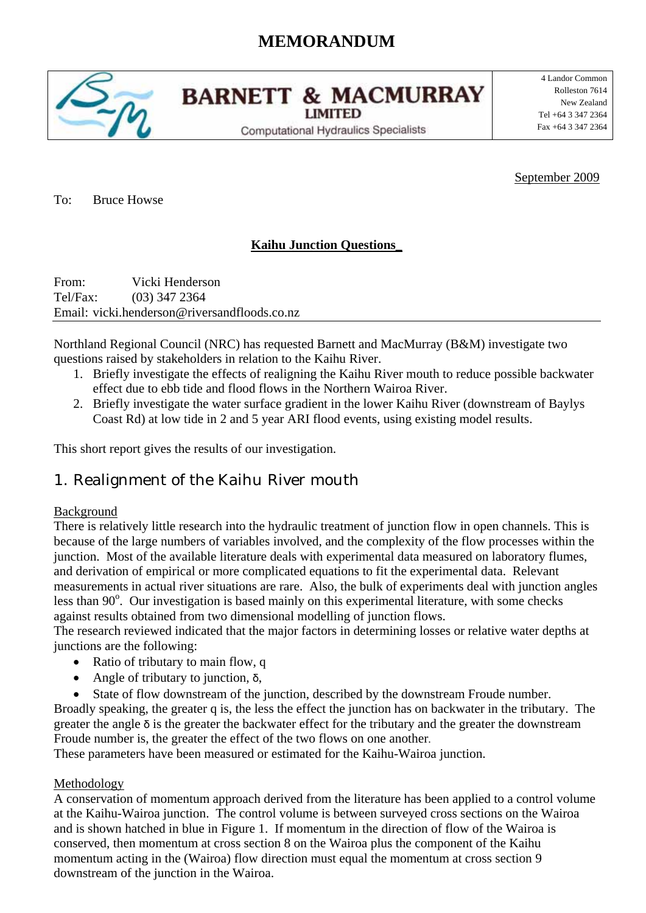# **MEMORANDUM**



**BARNETT & MACMURRAY LIMITED** 

**Computational Hydraulics Specialists** 

4 Landor Common Rolleston 7614 New Zealand Tel +64 3 347 2364 Fax +64 3 347 2364

September 2009

To: Bruce Howse

### **Kaihu Junction Questions\_**

From: Vicki Henderson Tel/Fax: (03) 347 2364 Email: vicki.henderson@riversandfloods.co.nz

Northland Regional Council (NRC) has requested Barnett and MacMurray (B&M) investigate two questions raised by stakeholders in relation to the Kaihu River.

- 1. Briefly investigate the effects of realigning the Kaihu River mouth to reduce possible backwater effect due to ebb tide and flood flows in the Northern Wairoa River.
- 2. Briefly investigate the water surface gradient in the lower Kaihu River (downstream of Baylys Coast Rd) at low tide in 2 and 5 year ARI flood events, using existing model results.

This short report gives the results of our investigation.

## 1. Realignment of the Kaihu River mouth

#### **Background**

There is relatively little research into the hydraulic treatment of junction flow in open channels. This is because of the large numbers of variables involved, and the complexity of the flow processes within the junction. Most of the available literature deals with experimental data measured on laboratory flumes, and derivation of empirical or more complicated equations to fit the experimental data. Relevant measurements in actual river situations are rare. Also, the bulk of experiments deal with junction angles less than 90°. Our investigation is based mainly on this experimental literature, with some checks against results obtained from two dimensional modelling of junction flows.

The research reviewed indicated that the major factors in determining losses or relative water depths at junctions are the following:

- Ratio of tributary to main flow, q
- Angle of tributary to junction,  $\delta$ ,
- State of flow downstream of the junction, described by the downstream Froude number. Broadly speaking, the greater q is, the less the effect the junction has on backwater in the tributary. The greater the angle  $\delta$  is the greater the backwater effect for the tributary and the greater the downstream Froude number is, the greater the effect of the two flows on one another.

These parameters have been measured or estimated for the Kaihu-Wairoa junction.

#### Methodology

A conservation of momentum approach derived from the literature has been applied to a control volume at the Kaihu-Wairoa junction. The control volume is between surveyed cross sections on the Wairoa and is shown hatched in blue in Figure 1. If momentum in the direction of flow of the Wairoa is conserved, then momentum at cross section 8 on the Wairoa plus the component of the Kaihu momentum acting in the (Wairoa) flow direction must equal the momentum at cross section 9 downstream of the junction in the Wairoa.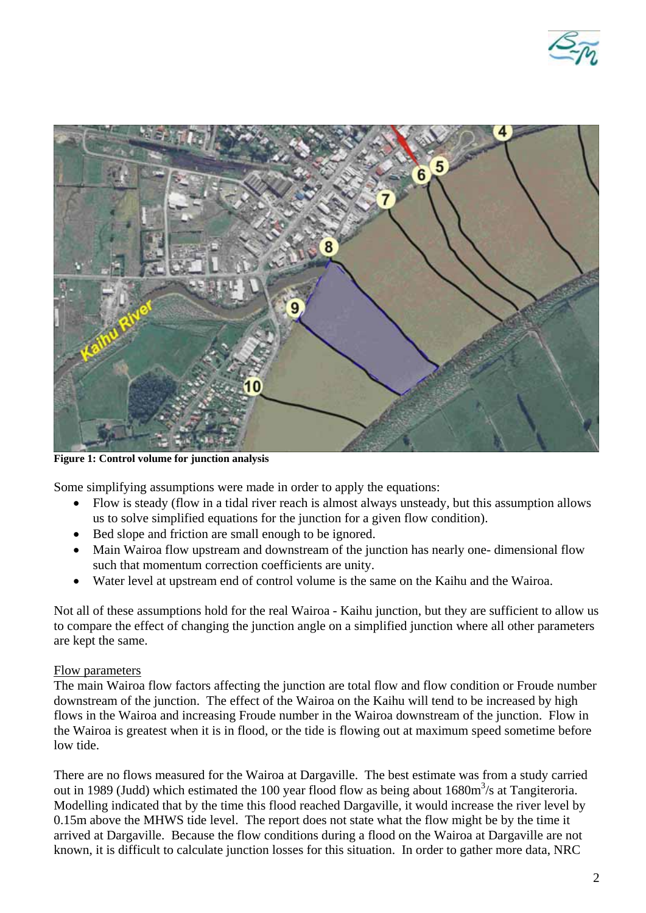



**Figure 1: Control volume for junction analysis** 

Some simplifying assumptions were made in order to apply the equations:

- Flow is steady (flow in a tidal river reach is almost always unsteady, but this assumption allows us to solve simplified equations for the junction for a given flow condition).
- Bed slope and friction are small enough to be ignored.
- Main Wairoa flow upstream and downstream of the junction has nearly one- dimensional flow such that momentum correction coefficients are unity.
- Water level at upstream end of control volume is the same on the Kaihu and the Wairoa.

Not all of these assumptions hold for the real Wairoa - Kaihu junction, but they are sufficient to allow us to compare the effect of changing the junction angle on a simplified junction where all other parameters are kept the same.

#### Flow parameters

The main Wairoa flow factors affecting the junction are total flow and flow condition or Froude number downstream of the junction. The effect of the Wairoa on the Kaihu will tend to be increased by high flows in the Wairoa and increasing Froude number in the Wairoa downstream of the junction. Flow in the Wairoa is greatest when it is in flood, or the tide is flowing out at maximum speed sometime before low tide.

There are no flows measured for the Wairoa at Dargaville. The best estimate was from a study carried out in 1989 (Judd) which estimated the 100 year flood flow as being about  $1680m<sup>3</sup>/s$  at Tangiteroria. Modelling indicated that by the time this flood reached Dargaville, it would increase the river level by 0.15m above the MHWS tide level. The report does not state what the flow might be by the time it arrived at Dargaville. Because the flow conditions during a flood on the Wairoa at Dargaville are not known, it is difficult to calculate junction losses for this situation. In order to gather more data, NRC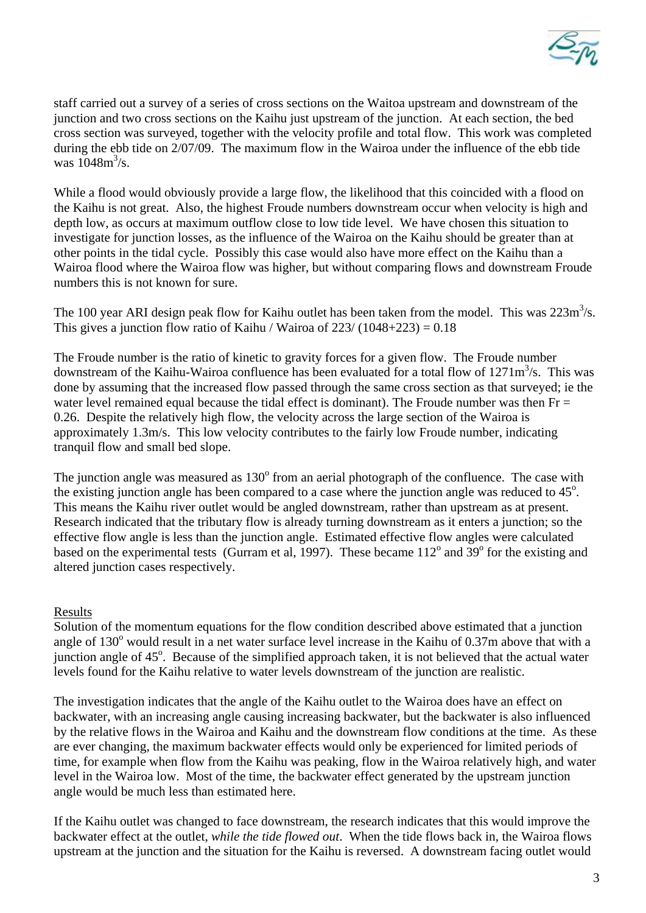

staff carried out a survey of a series of cross sections on the Waitoa upstream and downstream of the junction and two cross sections on the Kaihu just upstream of the junction. At each section, the bed cross section was surveyed, together with the velocity profile and total flow. This work was completed during the ebb tide on 2/07/09. The maximum flow in the Wairoa under the influence of the ebb tide was  $1048 \text{m}^3/\text{s}$ .

While a flood would obviously provide a large flow, the likelihood that this coincided with a flood on the Kaihu is not great. Also, the highest Froude numbers downstream occur when velocity is high and depth low, as occurs at maximum outflow close to low tide level. We have chosen this situation to investigate for junction losses, as the influence of the Wairoa on the Kaihu should be greater than at other points in the tidal cycle. Possibly this case would also have more effect on the Kaihu than a Wairoa flood where the Wairoa flow was higher, but without comparing flows and downstream Froude numbers this is not known for sure.

The 100 year ARI design peak flow for Kaihu outlet has been taken from the model. This was  $223m^3/s$ . This gives a junction flow ratio of Kaihu / Wairoa of  $223/ (1048+223) = 0.18$ 

The Froude number is the ratio of kinetic to gravity forces for a given flow. The Froude number downstream of the Kaihu-Wairoa confluence has been evaluated for a total flow of  $1271m<sup>3</sup>/s$ . This was done by assuming that the increased flow passed through the same cross section as that surveyed; ie the water level remained equal because the tidal effect is dominant). The Froude number was then  $Fr =$ 0.26. Despite the relatively high flow, the velocity across the large section of the Wairoa is approximately 1.3m/s. This low velocity contributes to the fairly low Froude number, indicating tranquil flow and small bed slope.

The junction angle was measured as  $130^{\circ}$  from an aerial photograph of the confluence. The case with the existing junction angle has been compared to a case where the junction angle was reduced to  $45^\circ$ . This means the Kaihu river outlet would be angled downstream, rather than upstream as at present. Research indicated that the tributary flow is already turning downstream as it enters a junction; so the effective flow angle is less than the junction angle. Estimated effective flow angles were calculated based on the experimental tests (Gurram et al, 1997). These became  $112^{\circ}$  and  $39^{\circ}$  for the existing and altered junction cases respectively.

#### Results

Solution of the momentum equations for the flow condition described above estimated that a junction angle of  $130^{\circ}$  would result in a net water surface level increase in the Kaihu of 0.37m above that with a junction angle of 45°. Because of the simplified approach taken, it is not believed that the actual water levels found for the Kaihu relative to water levels downstream of the junction are realistic.

The investigation indicates that the angle of the Kaihu outlet to the Wairoa does have an effect on backwater, with an increasing angle causing increasing backwater, but the backwater is also influenced by the relative flows in the Wairoa and Kaihu and the downstream flow conditions at the time. As these are ever changing, the maximum backwater effects would only be experienced for limited periods of time, for example when flow from the Kaihu was peaking, flow in the Wairoa relatively high, and water level in the Wairoa low. Most of the time, the backwater effect generated by the upstream junction angle would be much less than estimated here.

If the Kaihu outlet was changed to face downstream, the research indicates that this would improve the backwater effect at the outlet, *while the tide flowed out*. When the tide flows back in, the Wairoa flows upstream at the junction and the situation for the Kaihu is reversed. A downstream facing outlet would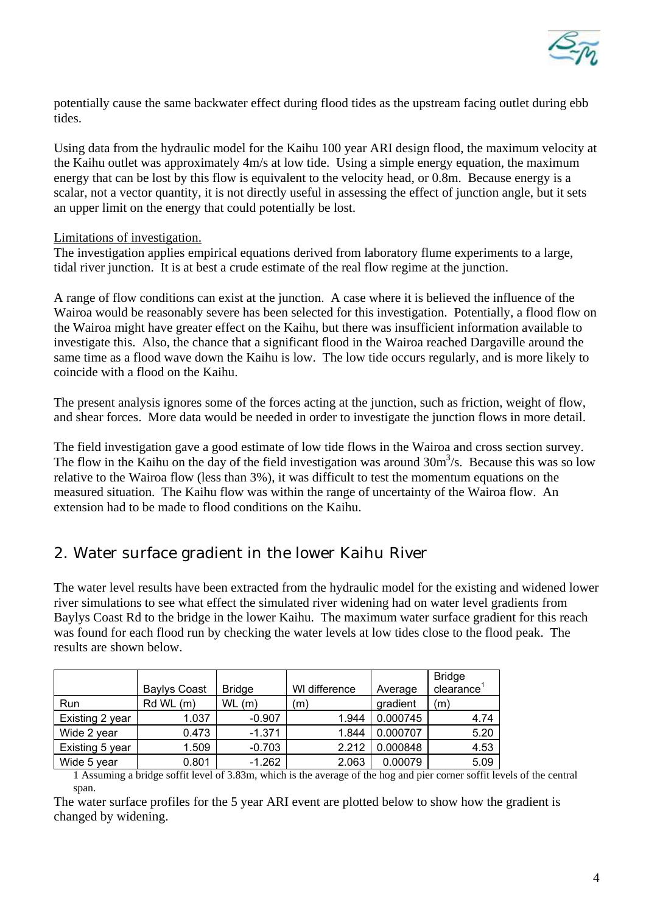

potentially cause the same backwater effect during flood tides as the upstream facing outlet during ebb tides.

Using data from the hydraulic model for the Kaihu 100 year ARI design flood, the maximum velocity at the Kaihu outlet was approximately 4m/s at low tide. Using a simple energy equation, the maximum energy that can be lost by this flow is equivalent to the velocity head, or 0.8m. Because energy is a scalar, not a vector quantity, it is not directly useful in assessing the effect of junction angle, but it sets an upper limit on the energy that could potentially be lost.

#### Limitations of investigation.

The investigation applies empirical equations derived from laboratory flume experiments to a large, tidal river junction. It is at best a crude estimate of the real flow regime at the junction.

A range of flow conditions can exist at the junction. A case where it is believed the influence of the Wairoa would be reasonably severe has been selected for this investigation. Potentially, a flood flow on the Wairoa might have greater effect on the Kaihu, but there was insufficient information available to investigate this. Also, the chance that a significant flood in the Wairoa reached Dargaville around the same time as a flood wave down the Kaihu is low. The low tide occurs regularly, and is more likely to coincide with a flood on the Kaihu.

The present analysis ignores some of the forces acting at the junction, such as friction, weight of flow, and shear forces. More data would be needed in order to investigate the junction flows in more detail.

The field investigation gave a good estimate of low tide flows in the Wairoa and cross section survey. The flow in the Kaihu on the day of the field investigation was around  $30m<sup>3</sup>/s$ . Because this was so low relative to the Wairoa flow (less than 3%), it was difficult to test the momentum equations on the measured situation. The Kaihu flow was within the range of uncertainty of the Wairoa flow. An extension had to be made to flood conditions on the Kaihu.

## 2. Water surface gradient in the lower Kaihu River

The water level results have been extracted from the hydraulic model for the existing and widened lower river simulations to see what effect the simulated river widening had on water level gradients from Baylys Coast Rd to the bridge in the lower Kaihu. The maximum water surface gradient for this reach was found for each flood run by checking the water levels at low tides close to the flood peak. The results are shown below.

|                 | <b>Baylys Coast</b> | <b>Bridge</b> | WI difference | Average  | <b>Bridge</b><br>clearance |
|-----------------|---------------------|---------------|---------------|----------|----------------------------|
| Run             | Rd WL (m)           | $WL$ (m)      | (m)           | gradient | (m)                        |
| Existing 2 year | 1.037               | $-0.907$      | 1.944         | 0.000745 | 4.74                       |
| Wide 2 year     | 0.473               | $-1.371$      | 1.844         | 0.000707 | 5.20                       |
| Existing 5 year | 1.509               | $-0.703$      | 2.212         | 0.000848 | 4.53                       |
| Wide 5 year     | 0.801               | $-1.262$      | 2.063         | 0.00079  | 5.09                       |

1 Assuming a bridge soffit level of 3.83m, which is the average of the hog and pier corner soffit levels of the central span.

The water surface profiles for the 5 year ARI event are plotted below to show how the gradient is changed by widening.